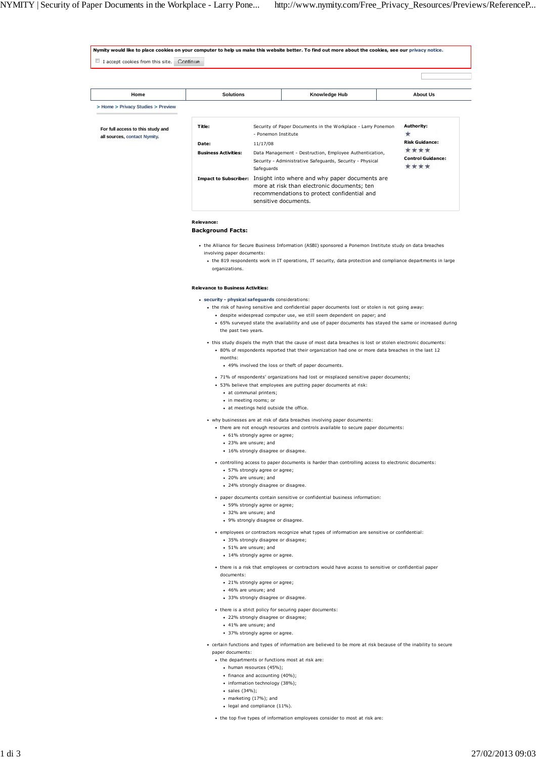| I accept cookies from this site. Continue |                                                                                                                                                                               |                                                                                                                 |                                  |  |
|-------------------------------------------|-------------------------------------------------------------------------------------------------------------------------------------------------------------------------------|-----------------------------------------------------------------------------------------------------------------|----------------------------------|--|
|                                           |                                                                                                                                                                               |                                                                                                                 |                                  |  |
|                                           |                                                                                                                                                                               |                                                                                                                 |                                  |  |
| Home                                      | <b>Solutions</b>                                                                                                                                                              | Knowledge Hub                                                                                                   | <b>About Us</b>                  |  |
| > Home > Privacy Studies > Preview        |                                                                                                                                                                               |                                                                                                                 |                                  |  |
|                                           |                                                                                                                                                                               |                                                                                                                 |                                  |  |
| For full access to this study and         | Title:                                                                                                                                                                        | Security of Paper Documents in the Workplace - Larry Ponemon<br>- Ponemon Institute                             | Authority:<br>★                  |  |
| all sources, contact Nymity.              | Date:                                                                                                                                                                         | 11/17/08                                                                                                        | <b>Risk Guidance:</b>            |  |
|                                           | <b>Business Activities:</b>                                                                                                                                                   | Data Management - Destruction, Employee Authentication,                                                         | ****                             |  |
|                                           |                                                                                                                                                                               | Security - Administrative Safeguards, Security - Physical                                                       | <b>Control Guidance:</b><br>**** |  |
|                                           |                                                                                                                                                                               | Safeguards<br>Impact to Subscriber: Insight into where and why paper documents are                              |                                  |  |
|                                           |                                                                                                                                                                               | more at risk than electronic documents; ten                                                                     |                                  |  |
|                                           |                                                                                                                                                                               | recommendations to protect confidential and<br>sensitive documents.                                             |                                  |  |
|                                           |                                                                                                                                                                               |                                                                                                                 |                                  |  |
|                                           | Relevance:                                                                                                                                                                    |                                                                                                                 |                                  |  |
|                                           | <b>Background Facts:</b>                                                                                                                                                      |                                                                                                                 |                                  |  |
|                                           |                                                                                                                                                                               | • the Alliance for Secure Business Information (ASBI) sponsored a Ponemon Institute study on data breaches      |                                  |  |
|                                           | involving paper documents:                                                                                                                                                    |                                                                                                                 |                                  |  |
|                                           | organizations.                                                                                                                                                                | • the 819 respondents work in IT operations, IT security, data protection and compliance departments in large   |                                  |  |
|                                           |                                                                                                                                                                               |                                                                                                                 |                                  |  |
|                                           | <b>Relevance to Business Activities:</b>                                                                                                                                      |                                                                                                                 |                                  |  |
|                                           | · security - physical safeguards considerations:                                                                                                                              |                                                                                                                 |                                  |  |
|                                           | • the risk of having sensitive and confidential paper documents lost or stolen is not going away:<br>· despite widespread computer use, we still seem dependent on paper; and |                                                                                                                 |                                  |  |
|                                           | • 65% surveyed state the availability and use of paper documents has stayed the same or increased during                                                                      |                                                                                                                 |                                  |  |
|                                           | the past two years.                                                                                                                                                           |                                                                                                                 |                                  |  |
|                                           | • this study dispels the myth that the cause of most data breaches is lost or stolen electronic documents:                                                                    |                                                                                                                 |                                  |  |
|                                           | . 80% of respondents reported that their organization had one or more data breaches in the last 12<br>months:                                                                 |                                                                                                                 |                                  |  |
|                                           | • 49% involved the loss or theft of paper documents.                                                                                                                          |                                                                                                                 |                                  |  |
|                                           | • 71% of respondents' organizations had lost or misplaced sensitive paper documents;                                                                                          |                                                                                                                 |                                  |  |
|                                           | • 53% believe that employees are putting paper documents at risk:<br>· at communal printers;                                                                                  |                                                                                                                 |                                  |  |
|                                           | • in meeting rooms; or                                                                                                                                                        |                                                                                                                 |                                  |  |
|                                           | • at meetings held outside the office.                                                                                                                                        |                                                                                                                 |                                  |  |
|                                           | • why businesses are at risk of data breaches involving paper documents:                                                                                                      |                                                                                                                 |                                  |  |
|                                           | • there are not enough resources and controls available to secure paper documents:<br>• 61% strongly agree or agree;                                                          |                                                                                                                 |                                  |  |
|                                           | • 23% are unsure; and                                                                                                                                                         |                                                                                                                 |                                  |  |
|                                           | • 16% strongly disagree or disagree.                                                                                                                                          |                                                                                                                 |                                  |  |
|                                           | • controlling access to paper documents is harder than controlling access to electronic documents:<br>• 57% strongly agree or agree;                                          |                                                                                                                 |                                  |  |
|                                           | • 20% are unsure; and                                                                                                                                                         |                                                                                                                 |                                  |  |
|                                           |                                                                                                                                                                               | · 24% strongly disagree or disagree.                                                                            |                                  |  |
|                                           |                                                                                                                                                                               | · paper documents contain sensitive or confidential business information:                                       |                                  |  |
|                                           | • 59% strongly agree or agree;<br>• 32% are unsure; and                                                                                                                       |                                                                                                                 |                                  |  |
|                                           |                                                                                                                                                                               | • 9% strongly disagree or disagree.                                                                             |                                  |  |
|                                           | • employees or contractors recognize what types of information are sensitive or confidential:                                                                                 |                                                                                                                 |                                  |  |
|                                           | • 35% strongly disagree or disagree;<br>• 51% are unsure; and                                                                                                                 |                                                                                                                 |                                  |  |
|                                           |                                                                                                                                                                               | • 14% strongly agree or agree.                                                                                  |                                  |  |
|                                           | • there is a risk that employees or contractors would have access to sensitive or confidential paper                                                                          |                                                                                                                 |                                  |  |
|                                           | documents:                                                                                                                                                                    |                                                                                                                 |                                  |  |
|                                           | • 21% strongly agree or agree;<br>• 46% are unsure; and                                                                                                                       |                                                                                                                 |                                  |  |
|                                           |                                                                                                                                                                               | • 33% strongly disagree or disagree.                                                                            |                                  |  |
|                                           | • there is a strict policy for securing paper documents:                                                                                                                      |                                                                                                                 |                                  |  |
|                                           | • 22% strongly disagree or disagree;<br>• 41% are unsure; and                                                                                                                 |                                                                                                                 |                                  |  |
|                                           |                                                                                                                                                                               | • 37% strongly agree or agree.                                                                                  |                                  |  |
|                                           |                                                                                                                                                                               | • certain functions and types of information are believed to be more at risk because of the inability to secure |                                  |  |
|                                           | paper documents:                                                                                                                                                              |                                                                                                                 |                                  |  |
|                                           |                                                                                                                                                                               | • the departments or functions most at risk are:<br>• human resources (45%);                                    |                                  |  |
|                                           |                                                                                                                                                                               | · finance and accounting (40%);                                                                                 |                                  |  |
|                                           | · sales (34%);                                                                                                                                                                | • information technology (38%);                                                                                 |                                  |  |
|                                           |                                                                                                                                                                               | • marketing (17%); and                                                                                          |                                  |  |
|                                           |                                                                                                                                                                               | · legal and compliance (11%).                                                                                   |                                  |  |

the top five types of information employees consider to most at risk are: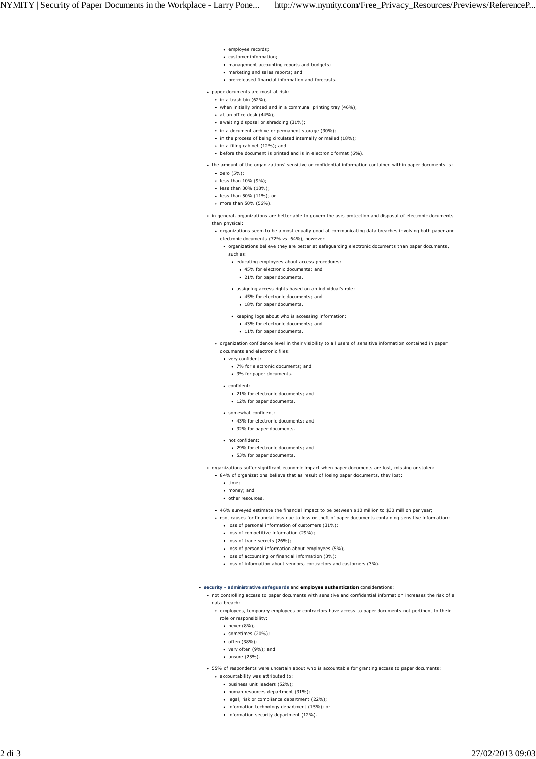- employee records;
- customer information;
- management accounting reports and budgets;
- marketing and sales reports; and
- pre-released financial information and forecasts.
- paper documents are most at risk:
- $\bullet$  in a trash bin (62%):
- when initially printed and in a communal printing tray (46%);
- at an office desk (44%);
- awaiting disposal or shredding (31%):
- in a document archive or permanent storage (30%);
- in the process of being circulated internally or mailed (18%);
- in a filing cabinet (12%); and
- before the document is printed and is in electronic format (6%).
- the amount of the organizations' sensitive or confidential information contained within paper documents is: zero (5%);
	- less than 10% (9%);
	- less than 30% (18%);
	- less than 50% (11%); or
	- more than 50% (56%).
- in general, organizations are better able to govern the use, protection and disposal of electronic documents than physical:
	- organizations seem to be almost equally good at communicating data breaches involving both paper and electronic documents (72% vs. 64%), however:
		- organizations believe they are better at safeguarding electronic documents than paper documents, such as:
			- educating employees about access procedures:
				- 45% for electronic documents; and
				- <sup>21%</sup> for paper documents
			- assigning access rights based on an individual's role:
				- 45% for electronic documents; and
				- 18% for paper documents.
			- keeping logs about who is accessing information:
				- 43% for electronic documents; and
				- 11% for paper documents.
	- organization confidence level in their visibility to all users of sensitive information contained in paper
		- documents and electronic files:
		- very confident:
			- 7% for electronic documents; and 3% for paper documents.
		- confident:
			- 21% for electronic documents: and
			- 12% for paper documents.
		- somewhat confident:
			- 43% for electronic documents; and
			- 32% for paper documents.
		- not confident:
			- 29% for electronic documents; and
			- 53% for paper documents.
			-
- organizations suffer significant economic impact when paper documents are lost, missing or stolen:
	- 84% of organizations believe that as result of losing paper documents, they lost:
		- $\cdot$  time:
		- money; and
		- other resources.
	- 46% surveyed estimate the financial impact to be between \$10 million to \$30 million per year;
	- root causes for financial loss due to loss or theft of paper documents containing sensitive information:
		- loss of personal information of customers (31%);
		- loss of competitive information (29%):
		- loss of trade secrets (26%);
		- loss of personal information about employees (5%);
		- loss of accounting or financial information (3%);
		- loss of information about vendors, contractors and customers (3%).
- **security administrative safeguards** and **employee authentication** considerations:
	- not controlling access to paper documents with sensitive and confidential information increases the risk of a data breach:
		- employees, temporary employees or contractors have access to paper documents not pertinent to their
		- role or responsibility:
		- never (8%);
		- sometimes (20%);
		- often (38%);
		- very often (9%); and
		- $\cdot$  unsure (25%).
	- 55% of respondents were uncertain about who is accountable for granting access to paper documents:
		- accountability was attributed to:
			- business unit leaders (52%);
			- human resources department (31%);
			- legal, risk or compliance department (22%);
			- information technology department (15%); or
			- information security department (12%).